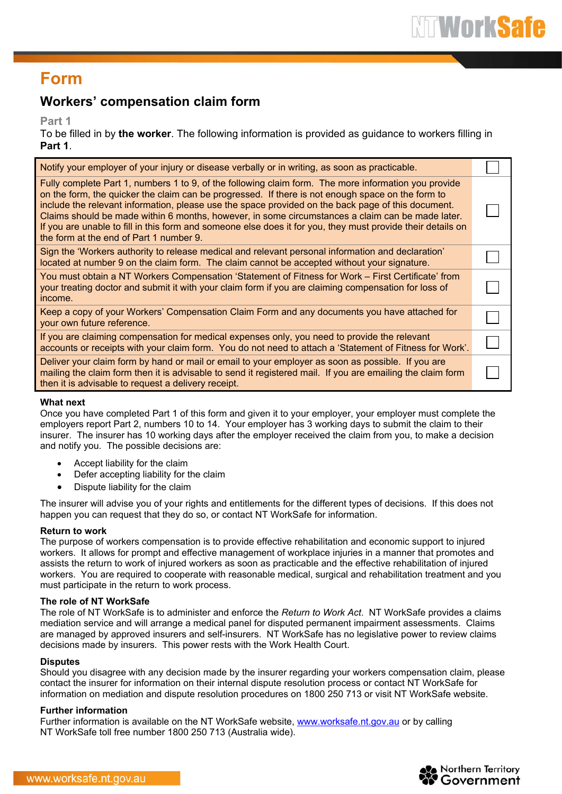### **Form**

### **Workers' compensation claim form**

**Part 1**

To be filled in by **the worker**. The following information is provided as guidance to workers filling in **Part 1**.

| Notify your employer of your injury or disease verbally or in writing, as soon as practicable.                                                                                                                                                                                                                                                                                                                                                                                                                                                                                |  |
|-------------------------------------------------------------------------------------------------------------------------------------------------------------------------------------------------------------------------------------------------------------------------------------------------------------------------------------------------------------------------------------------------------------------------------------------------------------------------------------------------------------------------------------------------------------------------------|--|
| Fully complete Part 1, numbers 1 to 9, of the following claim form. The more information you provide<br>on the form, the quicker the claim can be progressed. If there is not enough space on the form to<br>include the relevant information, please use the space provided on the back page of this document.<br>Claims should be made within 6 months, however, in some circumstances a claim can be made later.<br>If you are unable to fill in this form and someone else does it for you, they must provide their details on<br>the form at the end of Part 1 number 9. |  |
| Sign the 'Workers authority to release medical and relevant personal information and declaration'<br>located at number 9 on the claim form. The claim cannot be accepted without your signature.                                                                                                                                                                                                                                                                                                                                                                              |  |
| You must obtain a NT Workers Compensation 'Statement of Fitness for Work – First Certificate' from<br>your treating doctor and submit it with your claim form if you are claiming compensation for loss of<br>income.                                                                                                                                                                                                                                                                                                                                                         |  |
| Keep a copy of your Workers' Compensation Claim Form and any documents you have attached for<br>your own future reference.                                                                                                                                                                                                                                                                                                                                                                                                                                                    |  |
| If you are claiming compensation for medical expenses only, you need to provide the relevant<br>accounts or receipts with your claim form. You do not need to attach a 'Statement of Fitness for Work'.                                                                                                                                                                                                                                                                                                                                                                       |  |
| Deliver your claim form by hand or mail or email to your employer as soon as possible. If you are<br>mailing the claim form then it is advisable to send it registered mail. If you are emailing the claim form<br>then it is advisable to request a delivery receipt.                                                                                                                                                                                                                                                                                                        |  |
|                                                                                                                                                                                                                                                                                                                                                                                                                                                                                                                                                                               |  |

#### **What next**

Once you have completed Part 1 of this form and given it to your employer, your employer must complete the employers report Part 2, numbers 10 to 14. Your employer has 3 working days to submit the claim to their insurer. The insurer has 10 working days after the employer received the claim from you, to make a decision and notify you. The possible decisions are:

- Accept liability for the claim
- Defer accepting liability for the claim
- Dispute liability for the claim

The insurer will advise you of your rights and entitlements for the different types of decisions. If this does not happen you can request that they do so, or contact NT WorkSafe for information.

#### **Return to work**

The purpose of workers compensation is to provide effective rehabilitation and economic support to injured workers. It allows for prompt and effective management of workplace injuries in a manner that promotes and assists the return to work of injured workers as soon as practicable and the effective rehabilitation of injured workers. You are required to cooperate with reasonable medical, surgical and rehabilitation treatment and you must participate in the return to work process.

#### **The role of NT WorkSafe**

The role of NT WorkSafe is to administer and enforce the *Return to Work Act*. NT WorkSafe provides a claims mediation service and will arrange a medical panel for disputed permanent impairment assessments. Claims are managed by approved insurers and self-insurers. NT WorkSafe has no legislative power to review claims decisions made by insurers. This power rests with the Work Health Court.

#### **Disputes**

Should you disagree with any decision made by the insurer regarding your workers compensation claim, please contact the insurer for information on their internal dispute resolution process or contact NT WorkSafe for information on mediation and dispute resolution procedures on 1800 250 713 or visit NT WorkSafe website.

#### **Further information**

Further information is available on the NT WorkSafe website, [www.worksafe.nt.gov.au](http://www.worksafe.nt.gov.au/) or by calling NT WorkSafe toll free number 1800 250 713 (Australia wide).

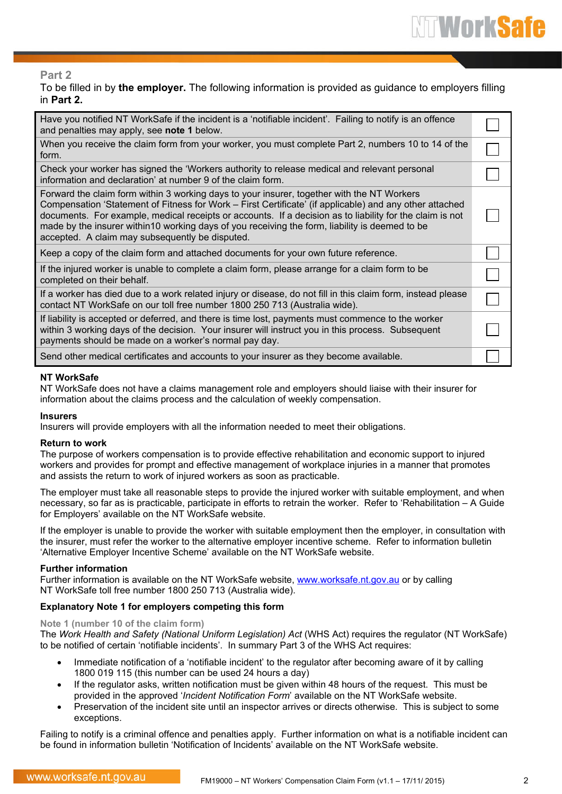#### **Part 2**

To be filled in by **the employer.** The following information is provided as guidance to employers filling in **Part 2.**

| Have you notified NT WorkSafe if the incident is a 'notifiable incident'. Failing to notify is an offence<br>and penalties may apply, see note 1 below.                                                                                                                                                                                                                                                                                                                |  |
|------------------------------------------------------------------------------------------------------------------------------------------------------------------------------------------------------------------------------------------------------------------------------------------------------------------------------------------------------------------------------------------------------------------------------------------------------------------------|--|
| When you receive the claim form from your worker, you must complete Part 2, numbers 10 to 14 of the<br>form.                                                                                                                                                                                                                                                                                                                                                           |  |
| Check your worker has signed the 'Workers authority to release medical and relevant personal<br>information and declaration' at number 9 of the claim form.                                                                                                                                                                                                                                                                                                            |  |
| Forward the claim form within 3 working days to your insurer, together with the NT Workers<br>Compensation 'Statement of Fitness for Work – First Certificate' (if applicable) and any other attached<br>documents. For example, medical receipts or accounts. If a decision as to liability for the claim is not<br>made by the insurer within10 working days of you receiving the form, liability is deemed to be<br>accepted. A claim may subsequently be disputed. |  |
| Keep a copy of the claim form and attached documents for your own future reference.                                                                                                                                                                                                                                                                                                                                                                                    |  |
| If the injured worker is unable to complete a claim form, please arrange for a claim form to be<br>completed on their behalf.                                                                                                                                                                                                                                                                                                                                          |  |
| If a worker has died due to a work related injury or disease, do not fill in this claim form, instead please<br>contact NT WorkSafe on our toll free number 1800 250 713 (Australia wide).                                                                                                                                                                                                                                                                             |  |
| If liability is accepted or deferred, and there is time lost, payments must commence to the worker<br>within 3 working days of the decision. Your insurer will instruct you in this process. Subsequent<br>payments should be made on a worker's normal pay day.                                                                                                                                                                                                       |  |
| Send other medical certificates and accounts to your insurer as they become available.                                                                                                                                                                                                                                                                                                                                                                                 |  |

#### **NT WorkSafe**

NT WorkSafe does not have a claims management role and employers should liaise with their insurer for information about the claims process and the calculation of weekly compensation.

#### **Insurers**

Insurers will provide employers with all the information needed to meet their obligations.

#### **Return to work**

The purpose of workers compensation is to provide effective rehabilitation and economic support to injured workers and provides for prompt and effective management of workplace injuries in a manner that promotes and assists the return to work of injured workers as soon as practicable.

The employer must take all reasonable steps to provide the injured worker with suitable employment, and when necessary, so far as is practicable, participate in efforts to retrain the worker. Refer to 'Rehabilitation – A Guide for Employers' available on the NT WorkSafe website.

If the employer is unable to provide the worker with suitable employment then the employer, in consultation with the insurer, must refer the worker to the alternative employer incentive scheme. Refer to information bulletin 'Alternative Employer Incentive Scheme' available on the NT WorkSafe website.

#### **Further information**

Further information is available on the NT WorkSafe website, [www.worksafe.nt.gov.au](http://www.worksafe.nt.gov.au/) or by calling NT WorkSafe toll free number 1800 250 713 (Australia wide).

#### **Explanatory Note 1 for employers competing this form**

#### **Note 1 (number 10 of the claim form)**

The *Work Health and Safety (National Uniform Legislation) Act* (WHS Act) requires the regulator (NT WorkSafe) to be notified of certain 'notifiable incidents'. In summary Part 3 of the WHS Act requires:

- Immediate notification of a 'notifiable incident' to the regulator after becoming aware of it by calling 1800 019 115 (this number can be used 24 hours a day)
- If the regulator asks, written notification must be given within 48 hours of the request. This must be provided in the approved '*Incident Notification Form*' available on the NT WorkSafe website.
- Preservation of the incident site until an inspector arrives or directs otherwise. This is subject to some exceptions.

Failing to notify is a criminal offence and penalties apply. Further information on what is a notifiable incident can be found in information bulletin 'Notification of Incidents' available on the NT WorkSafe website.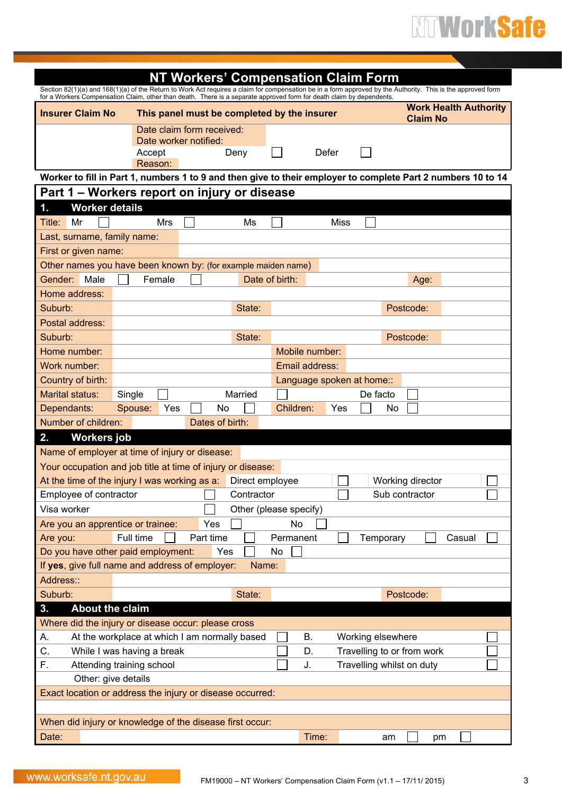| Section 82(1)(a) and 168(1)(a) of the Return to Work Act requires a claim for compensation be in a form approved by the Authority. This is the approved form |                                               | <b>NT Workers' Compensation Claim Form</b>         |                 |                        |             |                            |                  |                              |  |
|--------------------------------------------------------------------------------------------------------------------------------------------------------------|-----------------------------------------------|----------------------------------------------------|-----------------|------------------------|-------------|----------------------------|------------------|------------------------------|--|
| for a Workers Compensation Claim, other than death. There is a separate approved form for death claim by dependents.                                         |                                               |                                                    |                 |                        |             |                            |                  | <b>Work Health Authority</b> |  |
| <b>Insurer Claim No</b>                                                                                                                                      |                                               | This panel must be completed by the insurer        |                 |                        |             |                            | <b>Claim No</b>  |                              |  |
|                                                                                                                                                              |                                               | Date claim form received:<br>Date worker notified: |                 |                        |             |                            |                  |                              |  |
|                                                                                                                                                              | Accept                                        |                                                    | Deny            |                        | Defer       |                            |                  |                              |  |
|                                                                                                                                                              | Reason:                                       |                                                    |                 |                        |             |                            |                  |                              |  |
| Worker to fill in Part 1, numbers 1 to 9 and then give to their employer to complete Part 2 numbers 10 to 14                                                 |                                               |                                                    |                 |                        |             |                            |                  |                              |  |
| Part 1 – Workers report on injury or disease                                                                                                                 |                                               |                                                    |                 |                        |             |                            |                  |                              |  |
| <b>Worker details</b><br>$\mathbf 1$ .                                                                                                                       |                                               |                                                    |                 |                        |             |                            |                  |                              |  |
| Title:<br>Mr                                                                                                                                                 | Mrs                                           |                                                    | Ms              |                        | <b>Miss</b> |                            |                  |                              |  |
| Last, surname, family name:                                                                                                                                  |                                               |                                                    |                 |                        |             |                            |                  |                              |  |
| First or given name:                                                                                                                                         |                                               |                                                    |                 |                        |             |                            |                  |                              |  |
| Other names you have been known by: (for example maiden name)<br>Male<br>Gender:                                                                             | Female                                        |                                                    |                 | Date of birth:         |             |                            | Age:             |                              |  |
| Home address:                                                                                                                                                |                                               |                                                    |                 |                        |             |                            |                  |                              |  |
| Suburb:                                                                                                                                                      |                                               |                                                    | State:          |                        |             |                            | Postcode:        |                              |  |
| Postal address:                                                                                                                                              |                                               |                                                    |                 |                        |             |                            |                  |                              |  |
| Suburb:                                                                                                                                                      |                                               |                                                    | State:          |                        |             |                            | Postcode:        |                              |  |
| Home number:                                                                                                                                                 |                                               |                                                    |                 | Mobile number:         |             |                            |                  |                              |  |
| Work number:                                                                                                                                                 |                                               |                                                    |                 | Email address:         |             |                            |                  |                              |  |
| Country of birth:                                                                                                                                            |                                               |                                                    |                 |                        |             | Language spoken at home::  |                  |                              |  |
| <b>Marital status:</b>                                                                                                                                       | Single                                        |                                                    | Married         |                        |             | De facto                   |                  |                              |  |
| Dependants:                                                                                                                                                  | Spouse:<br>Yes                                | No                                                 |                 | Children:              | Yes         | No                         |                  |                              |  |
| Number of children:                                                                                                                                          |                                               | Dates of birth:                                    |                 |                        |             |                            |                  |                              |  |
| 2.<br><b>Workers</b> job                                                                                                                                     |                                               |                                                    |                 |                        |             |                            |                  |                              |  |
| Name of employer at time of injury or disease:                                                                                                               |                                               |                                                    |                 |                        |             |                            |                  |                              |  |
| Your occupation and job title at time of injury or disease:                                                                                                  |                                               |                                                    |                 |                        |             |                            |                  |                              |  |
| At the time of the injury I was working as a:                                                                                                                |                                               |                                                    | Direct employee |                        |             |                            | Working director |                              |  |
| Employee of contractor                                                                                                                                       |                                               |                                                    | Contractor      |                        |             |                            | Sub contractor   |                              |  |
| Visa worker                                                                                                                                                  |                                               |                                                    |                 | Other (please specify) |             |                            |                  |                              |  |
| Are you an apprentice or trainee:                                                                                                                            | Full time                                     | Yes<br>Part time                                   |                 | No<br>Permanent        |             |                            |                  | Casual                       |  |
| Are you:<br>Do you have other paid employment:                                                                                                               |                                               | Yes                                                |                 | No                     |             | Temporary                  |                  |                              |  |
| If yes, give full name and address of employer:                                                                                                              |                                               |                                                    | Name:           |                        |             |                            |                  |                              |  |
| Address::                                                                                                                                                    |                                               |                                                    |                 |                        |             |                            |                  |                              |  |
| Suburb:                                                                                                                                                      |                                               |                                                    | State:          |                        |             |                            | Postcode:        |                              |  |
| <b>About the claim</b><br>3.                                                                                                                                 |                                               |                                                    |                 |                        |             |                            |                  |                              |  |
| Where did the injury or disease occur: please cross                                                                                                          |                                               |                                                    |                 |                        |             |                            |                  |                              |  |
| А.                                                                                                                                                           | At the workplace at which I am normally based |                                                    |                 | В.                     |             | Working elsewhere          |                  |                              |  |
| C.                                                                                                                                                           | While I was having a break                    |                                                    |                 | D.                     |             | Travelling to or from work |                  |                              |  |
| F.                                                                                                                                                           | Attending training school                     |                                                    |                 | J.                     |             | Travelling whilst on duty  |                  |                              |  |
| Other: give details                                                                                                                                          |                                               |                                                    |                 |                        |             |                            |                  |                              |  |
| Exact location or address the injury or disease occurred:                                                                                                    |                                               |                                                    |                 |                        |             |                            |                  |                              |  |
|                                                                                                                                                              |                                               |                                                    |                 |                        |             |                            |                  |                              |  |
| When did injury or knowledge of the disease first occur:                                                                                                     |                                               |                                                    |                 |                        |             |                            |                  |                              |  |
| Date:                                                                                                                                                        |                                               |                                                    |                 |                        | Time:       | am                         | pm               |                              |  |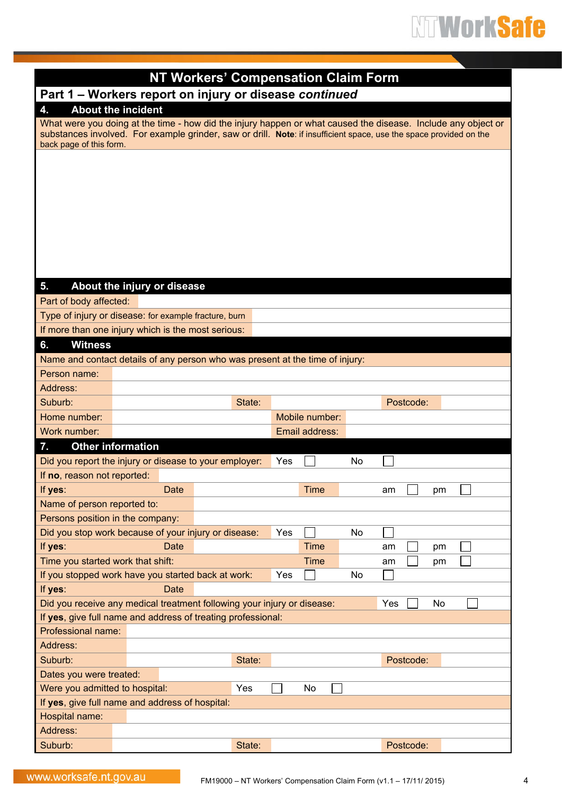|                                   |                                                        | <b>NT Workers' Compensation Claim Form</b>                                    |                |                                                                                                                    |
|-----------------------------------|--------------------------------------------------------|-------------------------------------------------------------------------------|----------------|--------------------------------------------------------------------------------------------------------------------|
|                                   |                                                        | Part 1 - Workers report on injury or disease continued                        |                |                                                                                                                    |
| 4.                                | <b>About the incident</b>                              |                                                                               |                |                                                                                                                    |
|                                   |                                                        |                                                                               |                | What were you doing at the time - how did the injury happen or what caused the disease. Include any object or      |
|                                   |                                                        |                                                                               |                | substances involved. For example grinder, saw or drill. Note: if insufficient space, use the space provided on the |
| back page of this form.           |                                                        |                                                                               |                |                                                                                                                    |
|                                   |                                                        |                                                                               |                |                                                                                                                    |
|                                   |                                                        |                                                                               |                |                                                                                                                    |
|                                   |                                                        |                                                                               |                |                                                                                                                    |
|                                   |                                                        |                                                                               |                |                                                                                                                    |
|                                   |                                                        |                                                                               |                |                                                                                                                    |
|                                   |                                                        |                                                                               |                |                                                                                                                    |
|                                   |                                                        |                                                                               |                |                                                                                                                    |
|                                   |                                                        |                                                                               |                |                                                                                                                    |
|                                   |                                                        |                                                                               |                |                                                                                                                    |
| 5.                                | About the injury or disease                            |                                                                               |                |                                                                                                                    |
| Part of body affected:            |                                                        |                                                                               |                |                                                                                                                    |
|                                   | Type of injury or disease: for example fracture, burn  |                                                                               |                |                                                                                                                    |
|                                   | If more than one injury which is the most serious:     |                                                                               |                |                                                                                                                    |
| <b>Witness</b><br>6.              |                                                        |                                                                               |                |                                                                                                                    |
|                                   |                                                        | Name and contact details of any person who was present at the time of injury: |                |                                                                                                                    |
| Person name:                      |                                                        |                                                                               |                |                                                                                                                    |
| Address:                          |                                                        |                                                                               |                |                                                                                                                    |
| Suburb:                           |                                                        | State:                                                                        |                | Postcode:                                                                                                          |
| Home number:                      |                                                        |                                                                               | Mobile number: |                                                                                                                    |
| Work number:                      |                                                        |                                                                               | Email address: |                                                                                                                    |
| <b>Other information</b><br>7.    |                                                        |                                                                               |                |                                                                                                                    |
|                                   | Did you report the injury or disease to your employer: |                                                                               | Yes            | No                                                                                                                 |
| If no, reason not reported:       |                                                        |                                                                               |                |                                                                                                                    |
| If yes:                           | Date                                                   |                                                                               | Time           | pm<br>am                                                                                                           |
| Name of person reported to:       |                                                        |                                                                               |                |                                                                                                                    |
| Persons position in the company:  |                                                        |                                                                               |                |                                                                                                                    |
|                                   | Did you stop work because of your injury or disease:   |                                                                               | Yes            | No                                                                                                                 |
| If yes:                           | Date                                                   |                                                                               | Time           | am<br>pm                                                                                                           |
| Time you started work that shift: |                                                        |                                                                               | Time           | am<br>pm                                                                                                           |
|                                   | If you stopped work have you started back at work:     |                                                                               | Yes            | No                                                                                                                 |
| If yes:                           | Date                                                   |                                                                               |                |                                                                                                                    |
|                                   |                                                        | Did you receive any medical treatment following your injury or disease:       |                | Yes<br>No                                                                                                          |
|                                   |                                                        | If yes, give full name and address of treating professional:                  |                |                                                                                                                    |
| Professional name:                |                                                        |                                                                               |                |                                                                                                                    |
| Address:                          |                                                        |                                                                               |                |                                                                                                                    |
| Suburb:                           |                                                        | State:                                                                        |                | Postcode:                                                                                                          |
| Dates you were treated:           |                                                        |                                                                               |                |                                                                                                                    |
| Were you admitted to hospital:    |                                                        | Yes                                                                           | No             |                                                                                                                    |
|                                   | If yes, give full name and address of hospital:        |                                                                               |                |                                                                                                                    |
| Hospital name:                    |                                                        |                                                                               |                |                                                                                                                    |
| Address:                          |                                                        |                                                                               |                |                                                                                                                    |
| Suburb:                           |                                                        | State:                                                                        |                | Postcode:                                                                                                          |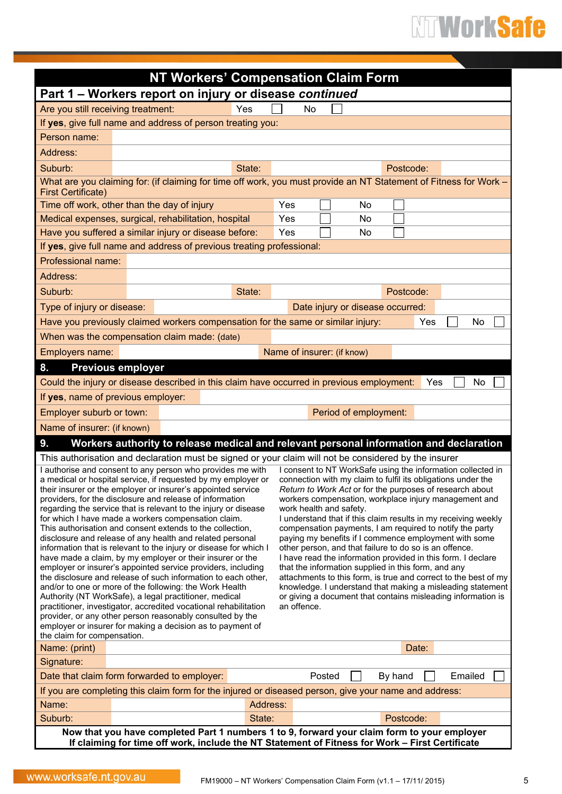|                                                                                                                                                                                                                                                            | <b>NT Workers' Compensation Claim Form</b>                                                                                                           |        |          |                            |        |                       |                                                                                                                               |     |         |     |
|------------------------------------------------------------------------------------------------------------------------------------------------------------------------------------------------------------------------------------------------------------|------------------------------------------------------------------------------------------------------------------------------------------------------|--------|----------|----------------------------|--------|-----------------------|-------------------------------------------------------------------------------------------------------------------------------|-----|---------|-----|
|                                                                                                                                                                                                                                                            | Part 1 - Workers report on injury or disease continued                                                                                               |        |          |                            |        |                       |                                                                                                                               |     |         |     |
| Are you still receiving treatment:                                                                                                                                                                                                                         |                                                                                                                                                      | Yes    |          | No                         |        |                       |                                                                                                                               |     |         |     |
|                                                                                                                                                                                                                                                            | If yes, give full name and address of person treating you:                                                                                           |        |          |                            |        |                       |                                                                                                                               |     |         |     |
| Person name:                                                                                                                                                                                                                                               |                                                                                                                                                      |        |          |                            |        |                       |                                                                                                                               |     |         |     |
| Address:                                                                                                                                                                                                                                                   |                                                                                                                                                      |        |          |                            |        |                       |                                                                                                                               |     |         |     |
| Suburb:                                                                                                                                                                                                                                                    |                                                                                                                                                      | State: |          |                            |        |                       | Postcode:                                                                                                                     |     |         |     |
| <b>First Certificate)</b>                                                                                                                                                                                                                                  | What are you claiming for: (if claiming for time off work, you must provide an NT Statement of Fitness for Work -                                    |        |          |                            |        |                       |                                                                                                                               |     |         |     |
|                                                                                                                                                                                                                                                            | Time off work, other than the day of injury                                                                                                          |        | Yes      |                            |        | No                    |                                                                                                                               |     |         |     |
|                                                                                                                                                                                                                                                            | Medical expenses, surgical, rehabilitation, hospital                                                                                                 |        | Yes      |                            |        | No                    |                                                                                                                               |     |         |     |
|                                                                                                                                                                                                                                                            | Have you suffered a similar injury or disease before:                                                                                                |        | Yes      |                            |        | No                    |                                                                                                                               |     |         |     |
|                                                                                                                                                                                                                                                            | If yes, give full name and address of previous treating professional:                                                                                |        |          |                            |        |                       |                                                                                                                               |     |         |     |
| Professional name:                                                                                                                                                                                                                                         |                                                                                                                                                      |        |          |                            |        |                       |                                                                                                                               |     |         |     |
| Address:                                                                                                                                                                                                                                                   |                                                                                                                                                      |        |          |                            |        |                       |                                                                                                                               |     |         |     |
| Suburb:                                                                                                                                                                                                                                                    |                                                                                                                                                      | State: |          |                            |        |                       | Postcode:                                                                                                                     |     |         |     |
| Type of injury or disease:                                                                                                                                                                                                                                 |                                                                                                                                                      |        |          |                            |        |                       | Date injury or disease occurred:                                                                                              |     |         |     |
|                                                                                                                                                                                                                                                            | Have you previously claimed workers compensation for the same or similar injury:                                                                     |        |          |                            |        |                       |                                                                                                                               | Yes |         | No  |
|                                                                                                                                                                                                                                                            | When was the compensation claim made: (date)                                                                                                         |        |          |                            |        |                       |                                                                                                                               |     |         |     |
| Employers name:                                                                                                                                                                                                                                            |                                                                                                                                                      |        |          | Name of insurer: (if know) |        |                       |                                                                                                                               |     |         |     |
| 8.                                                                                                                                                                                                                                                         | <b>Previous employer</b>                                                                                                                             |        |          |                            |        |                       |                                                                                                                               |     |         |     |
|                                                                                                                                                                                                                                                            | Could the injury or disease described in this claim have occurred in previous employment:                                                            |        |          |                            |        |                       |                                                                                                                               | Yes |         | No. |
|                                                                                                                                                                                                                                                            | If yes, name of previous employer:                                                                                                                   |        |          |                            |        |                       |                                                                                                                               |     |         |     |
| Employer suburb or town:                                                                                                                                                                                                                                   |                                                                                                                                                      |        |          |                            |        | Period of employment: |                                                                                                                               |     |         |     |
| Name of insurer: (if known)                                                                                                                                                                                                                                |                                                                                                                                                      |        |          |                            |        |                       |                                                                                                                               |     |         |     |
| 9.<br>Workers authority to release medical and relevant personal information and declaration                                                                                                                                                               |                                                                                                                                                      |        |          |                            |        |                       |                                                                                                                               |     |         |     |
|                                                                                                                                                                                                                                                            | This authorisation and declaration must be signed or your claim will not be considered by the insurer                                                |        |          |                            |        |                       |                                                                                                                               |     |         |     |
| I consent to NT WorkSafe using the information collected in<br>I authorise and consent to any person who provides me with<br>a medical or hospital service, if requested by my employer or<br>connection with my claim to fulfil its obligations under the |                                                                                                                                                      |        |          |                            |        |                       |                                                                                                                               |     |         |     |
| Return to Work Act or for the purposes of research about<br>their insurer or the employer or insurer's appointed service                                                                                                                                   |                                                                                                                                                      |        |          |                            |        |                       |                                                                                                                               |     |         |     |
|                                                                                                                                                                                                                                                            | providers, for the disclosure and release of information<br>workers compensation, workplace injury management and<br>work health and safety.         |        |          |                            |        |                       |                                                                                                                               |     |         |     |
|                                                                                                                                                                                                                                                            | regarding the service that is relevant to the injury or disease<br>for which I have made a workers compensation claim.                               |        |          |                            |        |                       | I understand that if this claim results in my receiving weekly                                                                |     |         |     |
|                                                                                                                                                                                                                                                            | This authorisation and consent extends to the collection.                                                                                            |        |          |                            |        |                       | compensation payments, I am required to notify the party                                                                      |     |         |     |
|                                                                                                                                                                                                                                                            | disclosure and release of any health and related personal<br>information that is relevant to the injury or disease for which I                       |        |          |                            |        |                       | paying my benefits if I commence employment with some<br>other person, and that failure to do so is an offence.               |     |         |     |
|                                                                                                                                                                                                                                                            | have made a claim, by my employer or their insurer or the                                                                                            |        |          |                            |        |                       | I have read the information provided in this form. I declare                                                                  |     |         |     |
|                                                                                                                                                                                                                                                            | employer or insurer's appointed service providers, including                                                                                         |        |          |                            |        |                       | that the information supplied in this form, and any                                                                           |     |         |     |
|                                                                                                                                                                                                                                                            | the disclosure and release of such information to each other,<br>and/or to one or more of the following: the Work Health                             |        |          |                            |        |                       | attachments to this form, is true and correct to the best of my<br>knowledge. I understand that making a misleading statement |     |         |     |
|                                                                                                                                                                                                                                                            | Authority (NT WorkSafe), a legal practitioner, medical                                                                                               |        |          |                            |        |                       | or giving a document that contains misleading information is                                                                  |     |         |     |
|                                                                                                                                                                                                                                                            | practitioner, investigator, accredited vocational rehabilitation<br>provider, or any other person reasonably consulted by the                        |        |          | an offence.                |        |                       |                                                                                                                               |     |         |     |
|                                                                                                                                                                                                                                                            | employer or insurer for making a decision as to payment of                                                                                           |        |          |                            |        |                       |                                                                                                                               |     |         |     |
| the claim for compensation.                                                                                                                                                                                                                                |                                                                                                                                                      |        |          |                            |        |                       |                                                                                                                               |     |         |     |
| Name: (print)<br>Signature:                                                                                                                                                                                                                                |                                                                                                                                                      |        |          |                            |        |                       | Date:                                                                                                                         |     |         |     |
|                                                                                                                                                                                                                                                            |                                                                                                                                                      |        |          |                            |        |                       | By hand                                                                                                                       |     | Emailed |     |
|                                                                                                                                                                                                                                                            | Date that claim form forwarded to employer:<br>If you are completing this claim form for the injured or diseased person, give your name and address: |        |          |                            | Posted |                       |                                                                                                                               |     |         |     |
| Name:                                                                                                                                                                                                                                                      |                                                                                                                                                      |        | Address: |                            |        |                       |                                                                                                                               |     |         |     |
| Suburb:                                                                                                                                                                                                                                                    |                                                                                                                                                      |        | State:   |                            |        |                       | Postcode:                                                                                                                     |     |         |     |
|                                                                                                                                                                                                                                                            | Now that you have completed Part 1 numbers 1 to 9, forward your claim form to your employer                                                          |        |          |                            |        |                       |                                                                                                                               |     |         |     |
|                                                                                                                                                                                                                                                            | If claiming for time off work, include the NT Statement of Fitness for Work - First Certificate                                                      |        |          |                            |        |                       |                                                                                                                               |     |         |     |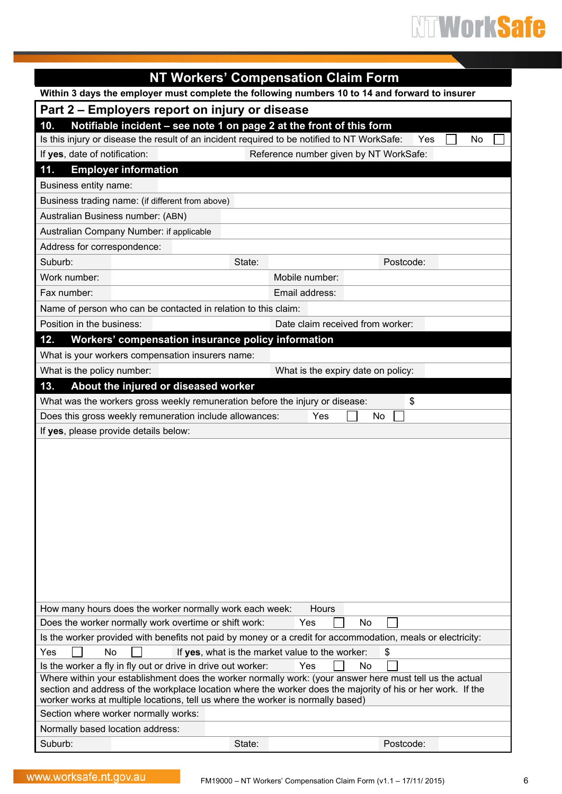|                                                                                                                                                                          | <b>NT Workers' Compensation Claim Form</b>                         |  |  |  |  |  |  |
|--------------------------------------------------------------------------------------------------------------------------------------------------------------------------|--------------------------------------------------------------------|--|--|--|--|--|--|
| Within 3 days the employer must complete the following numbers 10 to 14 and forward to insurer                                                                           |                                                                    |  |  |  |  |  |  |
| Part 2 – Employers report on injury or disease                                                                                                                           |                                                                    |  |  |  |  |  |  |
| Notifiable incident - see note 1 on page 2 at the front of this form<br>10.                                                                                              |                                                                    |  |  |  |  |  |  |
| Is this injury or disease the result of an incident required to be notified to NT WorkSafe:<br>Yes<br>No                                                                 |                                                                    |  |  |  |  |  |  |
| If yes, date of notification:                                                                                                                                            | Reference number given by NT WorkSafe:                             |  |  |  |  |  |  |
| <b>Employer information</b><br>11.                                                                                                                                       |                                                                    |  |  |  |  |  |  |
| Business entity name:                                                                                                                                                    |                                                                    |  |  |  |  |  |  |
| Business trading name: (if different from above)                                                                                                                         |                                                                    |  |  |  |  |  |  |
| Australian Business number: (ABN)                                                                                                                                        |                                                                    |  |  |  |  |  |  |
| Australian Company Number: if applicable                                                                                                                                 |                                                                    |  |  |  |  |  |  |
| Address for correspondence:                                                                                                                                              |                                                                    |  |  |  |  |  |  |
| Suburb:<br>State:                                                                                                                                                        | Postcode:                                                          |  |  |  |  |  |  |
| Work number:                                                                                                                                                             | Mobile number:                                                     |  |  |  |  |  |  |
| Fax number:                                                                                                                                                              | Email address:                                                     |  |  |  |  |  |  |
| Name of person who can be contacted in relation to this claim:                                                                                                           |                                                                    |  |  |  |  |  |  |
| Position in the business:                                                                                                                                                | Date claim received from worker:                                   |  |  |  |  |  |  |
| Workers' compensation insurance policy information<br>12.                                                                                                                |                                                                    |  |  |  |  |  |  |
| What is your workers compensation insurers name:                                                                                                                         |                                                                    |  |  |  |  |  |  |
| What is the policy number:                                                                                                                                               | What is the expiry date on policy:                                 |  |  |  |  |  |  |
| About the injured or diseased worker<br>13.                                                                                                                              |                                                                    |  |  |  |  |  |  |
| What was the workers gross weekly remuneration before the injury or disease:                                                                                             | \$                                                                 |  |  |  |  |  |  |
| Does this gross weekly remuneration include allowances:                                                                                                                  | Yes<br>No                                                          |  |  |  |  |  |  |
| If yes, please provide details below:                                                                                                                                    |                                                                    |  |  |  |  |  |  |
|                                                                                                                                                                          |                                                                    |  |  |  |  |  |  |
|                                                                                                                                                                          |                                                                    |  |  |  |  |  |  |
|                                                                                                                                                                          |                                                                    |  |  |  |  |  |  |
|                                                                                                                                                                          |                                                                    |  |  |  |  |  |  |
|                                                                                                                                                                          |                                                                    |  |  |  |  |  |  |
|                                                                                                                                                                          |                                                                    |  |  |  |  |  |  |
|                                                                                                                                                                          |                                                                    |  |  |  |  |  |  |
|                                                                                                                                                                          |                                                                    |  |  |  |  |  |  |
|                                                                                                                                                                          |                                                                    |  |  |  |  |  |  |
|                                                                                                                                                                          |                                                                    |  |  |  |  |  |  |
|                                                                                                                                                                          |                                                                    |  |  |  |  |  |  |
| How many hours does the worker normally work each week:                                                                                                                  | <b>Hours</b>                                                       |  |  |  |  |  |  |
| Does the worker normally work overtime or shift work:                                                                                                                    | Yes<br>No                                                          |  |  |  |  |  |  |
| Is the worker provided with benefits not paid by money or a credit for accommodation, meals or electricity:                                                              |                                                                    |  |  |  |  |  |  |
| Yes<br>No                                                                                                                                                                | If yes, what is the market value to the worker:<br>\$<br><b>No</b> |  |  |  |  |  |  |
| Is the worker a fly in fly out or drive in drive out worker:<br>Where within your establishment does the worker normally work: (your answer here must tell us the actual | Yes                                                                |  |  |  |  |  |  |
| section and address of the workplace location where the worker does the majority of his or her work. If the                                                              |                                                                    |  |  |  |  |  |  |
| worker works at multiple locations, tell us where the worker is normally based)                                                                                          |                                                                    |  |  |  |  |  |  |
| Section where worker normally works:                                                                                                                                     |                                                                    |  |  |  |  |  |  |
| Normally based location address:                                                                                                                                         |                                                                    |  |  |  |  |  |  |
| Suburb:<br>State:                                                                                                                                                        | Postcode:                                                          |  |  |  |  |  |  |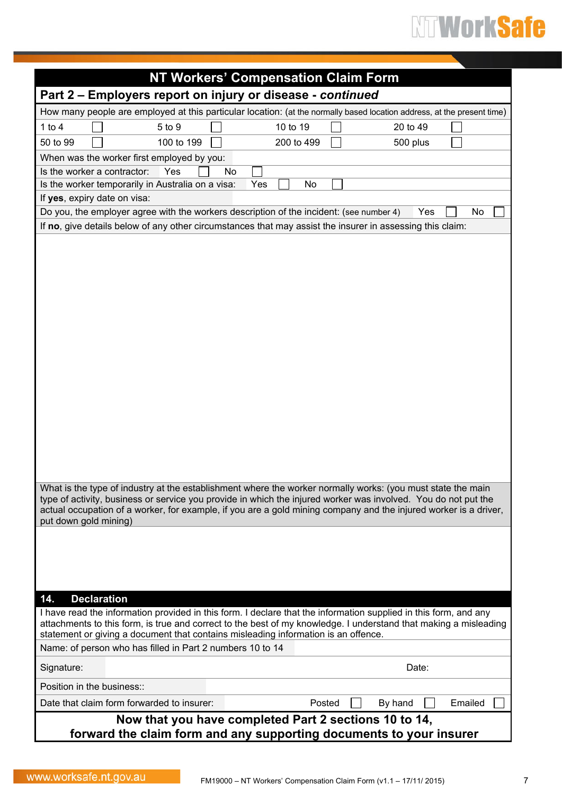| <b>NT Workers' Compensation Claim Form</b>                                                                                                                                                                                                                                                                                                                                 |                   |
|----------------------------------------------------------------------------------------------------------------------------------------------------------------------------------------------------------------------------------------------------------------------------------------------------------------------------------------------------------------------------|-------------------|
| Part 2 - Employers report on injury or disease - continued                                                                                                                                                                                                                                                                                                                 |                   |
| How many people are employed at this particular location: (at the normally based location address, at the present time)                                                                                                                                                                                                                                                    |                   |
| 1 to $4$<br>5 to 9<br>10 to 19                                                                                                                                                                                                                                                                                                                                             | 20 to 49          |
| 200 to 499<br>50 to 99<br>100 to 199                                                                                                                                                                                                                                                                                                                                       | 500 plus          |
| When was the worker first employed by you:                                                                                                                                                                                                                                                                                                                                 |                   |
| Is the worker a contractor:<br>Yes<br>No.                                                                                                                                                                                                                                                                                                                                  |                   |
| Is the worker temporarily in Australia on a visa:<br>Yes<br>No                                                                                                                                                                                                                                                                                                             |                   |
| If yes, expiry date on visa:                                                                                                                                                                                                                                                                                                                                               |                   |
| Do you, the employer agree with the workers description of the incident: (see number 4)                                                                                                                                                                                                                                                                                    | No<br>Yes         |
| If no, give details below of any other circumstances that may assist the insurer in assessing this claim:                                                                                                                                                                                                                                                                  |                   |
|                                                                                                                                                                                                                                                                                                                                                                            |                   |
| What is the type of industry at the establishment where the worker normally works: (you must state the main<br>type of activity, business or service you provide in which the injured worker was involved. You do not put the<br>actual occupation of a worker, for example, if you are a gold mining company and the injured worker is a driver,<br>put down gold mining) |                   |
|                                                                                                                                                                                                                                                                                                                                                                            |                   |
| <b>Declaration</b><br>14.                                                                                                                                                                                                                                                                                                                                                  |                   |
| I have read the information provided in this form. I declare that the information supplied in this form, and any<br>attachments to this form, is true and correct to the best of my knowledge. I understand that making a misleading<br>statement or giving a document that contains misleading information is an offence.                                                 |                   |
| Name: of person who has filled in Part 2 numbers 10 to 14                                                                                                                                                                                                                                                                                                                  |                   |
| Signature:                                                                                                                                                                                                                                                                                                                                                                 | Date:             |
| Position in the business::                                                                                                                                                                                                                                                                                                                                                 |                   |
|                                                                                                                                                                                                                                                                                                                                                                            | Emailed           |
| Date that claim form forwarded to insurer:<br>Now that you have completed Part 2 sections 10 to 14,<br>forward the claim form and any supporting documents to your insurer                                                                                                                                                                                                 | Posted<br>By hand |
|                                                                                                                                                                                                                                                                                                                                                                            |                   |